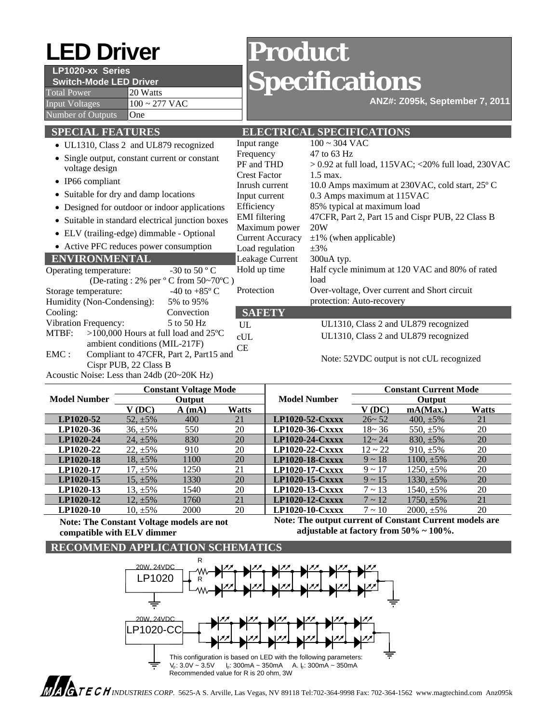# **LED Driver Product**

# **LP1020-xx Series**

**Switch-Mode LED Driver** 

Total Power 20 Watts Input Voltages  $100 \approx 277$  VAC Number of Outputs **One** 

# **Specifications**

**ANZ#: Z095k, September 7, 2011**

| <b>SPECIAL FEATURES</b>                                                                     |                        |                         | <b>ELECTRICAL SPECIFICATIONS</b>                        |  |  |
|---------------------------------------------------------------------------------------------|------------------------|-------------------------|---------------------------------------------------------|--|--|
| • UL1310, Class 2 and UL879 recognized                                                      |                        | Input range             | $100 \sim 304$ VAC                                      |  |  |
| • Single output, constant current or constant<br>voltage design<br>$\bullet$ IP66 compliant |                        | Frequency               | 47 to 63 Hz                                             |  |  |
|                                                                                             |                        | PF and THD              | $> 0.92$ at full load, 115VAC; <20% full load, 230VAC   |  |  |
|                                                                                             |                        | <b>Crest Factor</b>     | $1.5$ max.                                              |  |  |
|                                                                                             |                        | Inrush current          | 10.0 Amps maximum at 230VAC, cold start, 25°C           |  |  |
| • Suitable for dry and damp locations                                                       |                        | Input current           | 0.3 Amps maximum at 115VAC                              |  |  |
| • Designed for outdoor or indoor applications                                               |                        | Efficiency              | 85% typical at maximum load                             |  |  |
| • Suitable in standard electrical junction boxes                                            |                        | <b>EMI</b> filtering    | 47CFR, Part 2, Part 15 and Cispr PUB, 22 Class B<br>20W |  |  |
| • ELV (trailing-edge) dimmable - Optional                                                   |                        | Maximum power           |                                                         |  |  |
|                                                                                             |                        | <b>Current Accuracy</b> | $\pm 1\%$ (when applicable)                             |  |  |
| • Active PFC reduces power consumption                                                      |                        | Load regulation         | $\pm 3\%$                                               |  |  |
| <b>ENVIRONMENTAL</b>                                                                        |                        | Leakage Current         | 300uA typ.                                              |  |  |
| Operating temperature:                                                                      | $-30$ to 50 ° C        | Hold up time            | Half cycle minimum at 120 VAC and 80% of rated          |  |  |
| (De-rating : 2% per $\degree$ C from 50~70 $\degree$ C)                                     |                        |                         | load                                                    |  |  |
| Storage temperature:                                                                        | -40 to $+85^{\circ}$ C | Protection              | Over-voltage, Over current and Short circuit            |  |  |
| Humidity (Non-Condensing):                                                                  | 5% to 95%              |                         | protection: Auto-recovery                               |  |  |
| Cooling:                                                                                    | Convection             | <b>SAFETY</b>           |                                                         |  |  |
| Vibration Frequency:                                                                        | 5 to 50 Hz             | UL                      | UL1310, Class 2 and UL879 recognized                    |  |  |
| $>100,000$ Hours at full load and 25°C<br>MTBF:                                             |                        | cUL                     | UL1310, Class 2 and UL879 recognized                    |  |  |
| ambient conditions (MIL-217F)                                                               |                        | <b>CE</b>               |                                                         |  |  |
| $\text{EMC}:$<br>Compliant to 47CFR, Part 2, Part15 and                                     |                        |                         | $Moto: 52VDC$ output is not of $H$ recognized           |  |  |

Note: 52VDC output is not cUL recognized

|                     | <b>Constant Voltage Mode</b>                                                                                                                                                                                                                                                                     |       |       | <b>Model Number</b>    | <b>Constant Current Mode</b> |                 |              |  |
|---------------------|--------------------------------------------------------------------------------------------------------------------------------------------------------------------------------------------------------------------------------------------------------------------------------------------------|-------|-------|------------------------|------------------------------|-----------------|--------------|--|
| <b>Model Number</b> | <b>Output</b>                                                                                                                                                                                                                                                                                    |       |       |                        | <b>Output</b>                |                 |              |  |
|                     | V (DC)                                                                                                                                                                                                                                                                                           | A(mA) | Watts |                        | V (DC)                       | mA(Max.)        | <b>Watts</b> |  |
| LP1020-52           | $52, \pm 5\%$                                                                                                                                                                                                                                                                                    | 400   | 21    | LP1020-52-Cxxxx        | $26 - 52$                    | 400. $\pm$ 5%   | 21           |  |
| LP1020-36           | $36. \pm 5\%$                                                                                                                                                                                                                                                                                    | 550   | 20    | LP1020-36-Cxxxx        | $18 - 36$                    | 550. $\pm$ 5%   | 20           |  |
| LP1020-24           | $24. \pm 5\%$                                                                                                                                                                                                                                                                                    | 830   | 20    | $LP1020-24-Cxxxx$      | $12 - 24$                    | 830. $\pm$ 5%   | 20           |  |
| LP1020-22           | $22. \pm 5\%$                                                                                                                                                                                                                                                                                    | 910   | 20    | LP1020-22-Cxxxx        | $12 \sim 22$                 | $910. \pm 5\%$  | 20           |  |
| LP1020-18           | 18. $\pm$ 5%                                                                                                                                                                                                                                                                                     | 1100  | 20    | <b>LP1020-18-Cxxxx</b> | $9 \sim 18$                  | $1100, \pm 5\%$ | 20           |  |
| LP1020-17           | $17. \pm 5\%$                                                                                                                                                                                                                                                                                    | 1250  | 21    | LP1020-17-Cxxxx        | $9 \sim 17$                  | $1250, \pm 5\%$ | 20           |  |
| LP1020-15           | $15. \pm 5\%$                                                                                                                                                                                                                                                                                    | 1330  | 20    | $LP1020-15-Cxxxx$      | $9 \sim 15$                  | 1330. $\pm$ 5%  | 20           |  |
| LP1020-13           | 13. $\pm$ 5%                                                                                                                                                                                                                                                                                     | 1540  | 20    | LP1020-13-Cxxxx        | $7 \sim 13$                  | $1540.+5\%$     | 20           |  |
| LP1020-12           | 12. $\pm$ 5%                                                                                                                                                                                                                                                                                     | 1760  | 21    | $LP1020-12$ -Cxxxx     | $7 \sim 12$                  | $1750, \pm 5\%$ | 21           |  |
| LP1020-10           | 10. $\pm$ 5%                                                                                                                                                                                                                                                                                     | 2000  | 20    | LP1020-10-Cxxxx        | $7 \sim 10^{-7}$             | $2000, \pm 5\%$ | 20           |  |
|                     | $\mathbf{M}$ and $\mathbf{M}$ and $\mathbf{M}$ and $\mathbf{M}$ and $\mathbf{M}$ and $\mathbf{M}$ and $\mathbf{M}$ and $\mathbf{M}$ and $\mathbf{M}$ and $\mathbf{M}$ and $\mathbf{M}$ and $\mathbf{M}$ and $\mathbf{M}$ and $\mathbf{M}$ and $\mathbf{M}$ and $\mathbf{M}$ and $\mathbf{M}$ and |       |       |                        |                              |                 |              |  |

**Note: The Constant Voltage models are not compatible with ELV dimmer** 

Cispr PUB, 22 Class B Acoustic Noise: Less than 24db (20~20K Hz)

> **Note: The output current of Constant Current models are adjustable at factory from 50% ~ 100%.**

# **RECOMMEND APPLICATION SCHEMATICS**



 *INDUSTRIES CORP.* 5625-A S. Arville, Las Vegas, NV 89118 Tel:702-364-9998 Fax: 702-364-1562 www.magtechind.com Anz095k